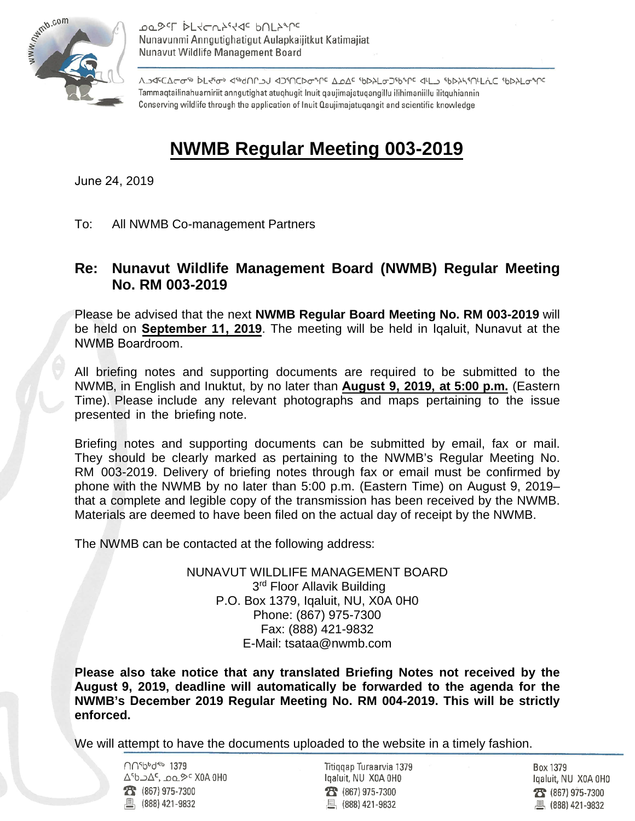

PT DESCL DESCUSSIS PULSTLE Nunavunmi Anngutighatigut Aulapkaijitkut Katimajiat Nunavut Wildlife Management Board

<u>ΛΑΦΕΔΕΦΑ ΑΑΛΑΙΑ ΑΑΛΑΙΑ ΑΟΝΟΡΑΛΑ Α</u>ΦΑ ΑΡΑΓΩΣΑΑΛΟ ΤΕΛΙΝΑΝ ΑΡ<del>Ο</del>ΑΡΙΟ ΑΡΑΔΟΡΕΛ Tammaqtailinahuarniriit anngutighat atuqhugit Inuit qaujimajatugangillu ilihimaniillu ilitguhiannin Conserving wildlife through the application of Inuit Qaujimajatugangit and scientific knowledge

## **NWMB Regular Meeting 003-2019**

June 24, 2019

To: All NWMB Co-management Partners

## **Re: Nunavut Wildlife Management Board (NWMB) Regular Meeting No. RM 003-2019**

Please be advised that the next **NWMB Regular Board Meeting No. RM 003-2019** will be held on **September 11, 2019**. The meeting will be held in Iqaluit, Nunavut at the NWMB Boardroom.

All briefing notes and supporting documents are required to be submitted to the NWMB, in English and Inuktut, by no later than **August 9, 2019, at 5:00 p.m.** (Eastern Time). Please include any relevant photographs and maps pertaining to the issue presented in the briefing note.

Briefing notes and supporting documents can be submitted by email, fax or mail. They should be clearly marked as pertaining to the NWMB's Regular Meeting No. RM 003-2019. Delivery of briefing notes through fax or email must be confirmed by phone with the NWMB by no later than 5:00 p.m. (Eastern Time) on August 9, 2019– that a complete and legible copy of the transmission has been received by the NWMB. Materials are deemed to have been filed on the actual day of receipt by the NWMB.

The NWMB can be contacted at the following address:

NUNAVUT WILDLIFE MANAGEMENT BOARD 3<sup>rd</sup> Floor Allavik Building P.O. Box 1379, Iqaluit, NU, X0A 0H0 Phone: (867) 975-7300 Fax: (888) 421-9832 E-Mail: tsataa@nwmb.com

**Please also take notice that any translated Briefing Notes not received by the August 9, 2019, deadline will automatically be forwarded to the agenda for the NWMB's December 2019 Regular Meeting No. RM 004-2019. This will be strictly enforced.** 

We will attempt to have the documents uploaded to the website in a timely fashion.

∩∩<sup>sbbd®b</sup> 1379 ∆<sup>6</sup>b 24°, 200 °< X0A 0H0  $T$  (867) 975-7300 昌 (888) 421-9832

Titiggap Turaarvia 1379 Igaluit, NU X0A 0H0  $23 (867) 975 - 7300$ 凰 (888) 421-9832

Box 1379 Igaluit, NU X0A 0H0 28 (867) 975-7300 ■ (888) 421-9832